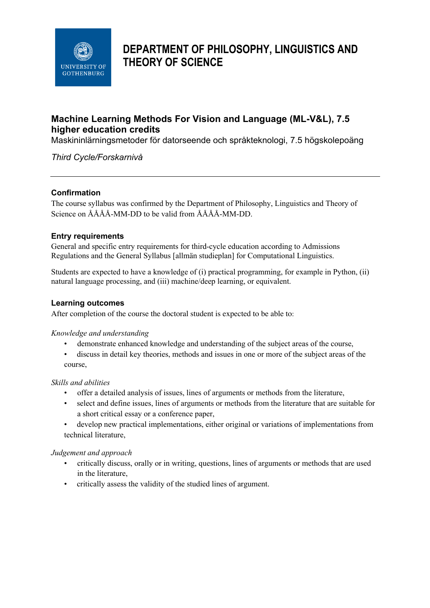

# **DEPARTMENT OF PHILOSOPHY, LINGUISTICS AND THEORY OF SCIENCE**

# **Machine Learning Methods For Vision and Language (ML-V&L), 7.5 higher education credits**

Maskininlärningsmetoder för datorseende och språkteknologi, 7.5 högskolepoäng

*Third Cycle/Forskarnivå*

#### **Confirmation**

The course syllabus was confirmed by the Department of Philosophy, Linguistics and Theory of Science on ÅÅÅÅ-MM-DD to be valid from ÅÅÅÅ-MM-DD.

#### **Entry requirements**

General and specific entry requirements for third-cycle education according to Admissions Regulations and the General Syllabus [allmän studieplan] for Computational Linguistics.

Students are expected to have a knowledge of (i) practical programming, for example in Python, (ii) natural language processing, and (iii) machine/deep learning, or equivalent.

#### **Learning outcomes**

After completion of the course the doctoral student is expected to be able to:

#### *Knowledge and understanding*

- demonstrate enhanced knowledge and understanding of the subject areas of the course,
- discuss in detail key theories, methods and issues in one or more of the subject areas of the course,

#### *Skills and abilities*

- offer a detailed analysis of issues, lines of arguments or methods from the literature,
- select and define issues, lines of arguments or methods from the literature that are suitable for a short critical essay or a conference paper,
- develop new practical implementations, either original or variations of implementations from technical literature,

#### *Judgement and approach*

- critically discuss, orally or in writing, questions, lines of arguments or methods that are used in the literature,
- critically assess the validity of the studied lines of argument.